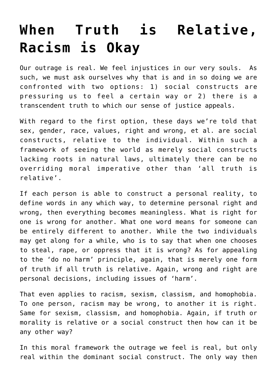## **[When Truth is Relative,](https://intellectualtakeout.org/2015/11/when-truth-is-relative-racism-is-okay/) [Racism is Okay](https://intellectualtakeout.org/2015/11/when-truth-is-relative-racism-is-okay/)**

Our outrage is real. We feel injustices in our very souls. As such, we must ask ourselves why that is and in so doing we are confronted with two options: 1) social constructs are pressuring us to feel a certain way or 2) there is a transcendent truth to which our sense of justice appeals.

With regard to the first option, these days we're told that sex, gender, race, values, right and wrong, et al. are social constructs, relative to the individual. Within such a framework of seeing the world as merely social constructs lacking roots in natural laws, ultimately there can be no overriding moral imperative other than 'all truth is relative'.

If each person is able to construct a personal reality, to define words in any which way, to determine personal right and wrong, then everything becomes meaningless. What is right for one is wrong for another. What one word means for someone can be entirely different to another. While the two individuals may get along for a while, who is to say that when one chooses to steal, rape, or oppress that it is wrong? As for appealing to the 'do no harm' principle, again, that is merely one form of truth if all truth is relative. Again, wrong and right are personal decisions, including issues of 'harm'.

That even applies to racism, sexism, classism, and homophobia. To one person, racism may be wrong, to another it is right. Same for sexism, classism, and homophobia. Again, if truth or morality is relative or a social construct then how can it be any other way?

In this moral framework the outrage we feel is real, but only real within the dominant social construct. The only way then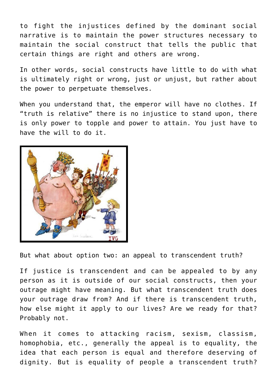to fight the injustices defined by the dominant social narrative is to maintain the power structures necessary to maintain the social construct that tells the public that certain things are right and others are wrong.

In other words, social constructs have little to do with what is ultimately right or wrong, just or unjust, but rather about the power to perpetuate themselves.

When you understand that, the emperor will have no clothes. If "truth is relative" there is no injustice to stand upon, there is only power to topple and power to attain. You just have to have the will to do it.



But what about option two: an appeal to transcendent truth?

If justice is transcendent and can be appealed to by any person as it is outside of our social constructs, then your outrage might have meaning. But what transcendent truth does your outrage draw from? And if there is transcendent truth, how else might it apply to our lives? Are we ready for that? Probably not.

When it comes to attacking racism, sexism, classism, homophobia, etc., generally the appeal is to equality, the idea that each person is equal and therefore deserving of dignity. But is equality of people a transcendent truth?